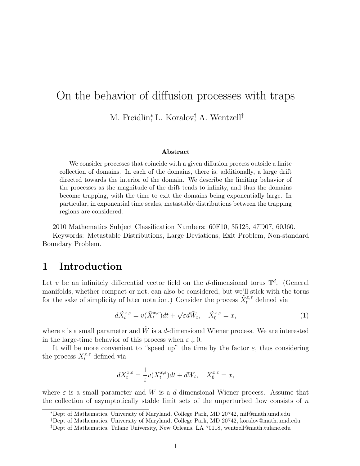# On the behavior of diffusion processes with traps M. Freidlin<sup>\*</sup>, L. Koralov<sup>†</sup>, A. Wentzell<sup>‡</sup>

#### Abstract

We consider processes that coincide with a given diffusion process outside a finite collection of domains. In each of the domains, there is, additionally, a large drift directed towards the interior of the domain. We describe the limiting behavior of the processes as the magnitude of the drift tends to infinity, and thus the domains become trapping, with the time to exit the domains being exponentially large. In particular, in exponential time scales, metastable distributions between the trapping regions are considered.

2010 Mathematics Subject Classification Numbers: 60F10, 35J25, 47D07, 60J60.

Keywords: Metastable Distributions, Large Deviations, Exit Problem, Non-standard Boundary Problem.

## 1 Introduction

Let v be an infinitely differential vector field on the d-dimensional torus  $\mathbb{T}^d$ . (General manifolds, whether compact or not, can also be considered, but we'll stick with the torus for the sake of simplicity of later notation.) Consider the process  $\tilde{X}^{x,\varepsilon}_t$  defined via

$$
d\tilde{X}_t^{x,\varepsilon} = v(\tilde{X}_t^{x,\varepsilon})dt + \sqrt{\varepsilon}d\tilde{W}_t, \quad \tilde{X}_0^{x,\varepsilon} = x,\tag{1}
$$

where  $\varepsilon$  is a small parameter and  $\tilde{W}$  is a d-dimensional Wiener process. We are interested in the large-time behavior of this process when  $\varepsilon \downarrow 0$ .

It will be more convenient to "speed up" the time by the factor  $\varepsilon$ , thus considering the process  $X_t^{x,\varepsilon}$  defined via

$$
dX_t^{x,\varepsilon} = -\frac{1}{\varepsilon}v(X_t^{x,\varepsilon})dt + dW_t, \quad X_0^{x,\varepsilon} = x,
$$

where  $\varepsilon$  is a small parameter and W is a d-dimensional Wiener process. Assume that the collection of asymptotically stable limit sets of the unperturbed flow consists of  $n$ 

<sup>∗</sup>Dept of Mathematics, University of Maryland, College Park, MD 20742, mif@math.umd.edu

<sup>†</sup>Dept of Mathematics, University of Maryland, College Park, MD 20742, koralov@math.umd.edu

<sup>‡</sup>Dept of Mathematics, Tulane University, New Orleans, LA 70118, wentzell@math.tulane.edu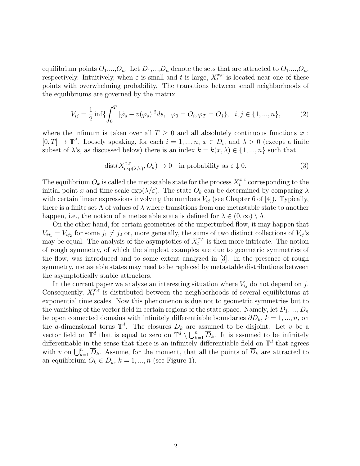equilibrium points  $O_1,...,O_n$ . Let  $D_1,...,D_n$  denote the sets that are attracted to  $O_1,...,O_n$ , respectively. Intuitively, when  $\varepsilon$  is small and t is large,  $X_t^{x,\varepsilon}$  $t^{x,\varepsilon}$  is located near one of these points with overwhelming probability. The transitions between small neighborhoods of the equilibriums are governed by the matrix

$$
V_{ij} = \frac{1}{2} \inf \{ \int_0^T |\dot{\varphi}_s - v(\varphi_s)|^2 ds, \ \varphi_0 = O_i, \varphi_T = O_j \}, \ i, j \in \{1, ..., n\},
$$
 (2)

where the infimum is taken over all  $T \geq 0$  and all absolutely continuous functions  $\varphi$ :  $[0, T] \to \mathbb{T}^d$ . Loosely speaking, for each  $i = 1, ..., n, x \in D_i$ , and  $\lambda > 0$  (except a finite subset of  $\lambda$ 's, as discussed below) there is an index  $k = k(x, \lambda) \in \{1, ..., n\}$  such that

$$
dist(X_{\exp(\lambda/\varepsilon)}^{x,\varepsilon}, O_k) \to 0 \quad \text{in probability as } \varepsilon \downarrow 0. \tag{3}
$$

The equilibrium  $O_k$  is called the metastable state for the process  $X_t^{x,\varepsilon}$  $t^{x,\varepsilon}$  corresponding to the initial point x and time scale  $\exp(\lambda/\varepsilon)$ . The state  $O_k$  can be determined by comparing  $\lambda$ with certain linear expressions involving the numbers  $V_{ij}$  (see Chapter 6 of [4]). Typically, there is a finite set  $\Lambda$  of values of  $\lambda$  where transitions from one metastable state to another happen, i.e., the notion of a metastable state is defined for  $\lambda \in (0,\infty) \setminus \Lambda$ .

On the other hand, for certain geometries of the unperturbed flow, it may happen that  $V_{ij_1} = V_{ij_2}$  for some  $j_1 \neq j_2$  or, more generally, the sums of two distinct collections of  $V_{ij}$ 's may be equal. The analysis of the asymptotics of  $X_t^{x,\varepsilon}$  $t^{x,\varepsilon}$  is then more intricate. The notion of rough symmetry, of which the simplest examples are due to geometric symmetries of the flow, was introduced and to some extent analyzed in [3]. In the presence of rough symmetry, metastable states may need to be replaced by metastable distributions between the asymptotically stable attractors.

In the current paper we analyze an interesting situation where  $V_{ij}$  do not depend on j. Consequently,  $X_t^{x,\varepsilon}$  $t^{x,\varepsilon}$  is distributed between the neighborhoods of several equilibriums at exponential time scales. Now this phenomenon is due not to geometric symmetries but to the vanishing of the vector field in certain regions of the state space. Namely, let  $D_1, ..., D_n$ be open connected domains with infinitely differentiable boundaries  $\partial D_k$ ,  $k = 1, ..., n$ , on the d-dimensional torus  $\mathbb{T}^d$ . The closures  $\overline{D}_k$  are assumed to be disjoint. Let v be a vector field on  $\mathbb{T}^d$  that is equal to zero on  $\mathbb{T}^d \setminus \bigcup_{k=1}^n \overline{D}_k$ . It is assumed to be infinitely differentiable in the sense that there is an infinitely differentiable field on  $\mathbb{T}^d$  that agrees with v on  $\bigcup_{k=1}^n \overline{D}_k$ . Assume, for the moment, that all the points of  $\overline{D}_k$  are attracted to an equilibrium  $O_k \in D_k$ ,  $k = 1, ..., n$  (see Figure 1).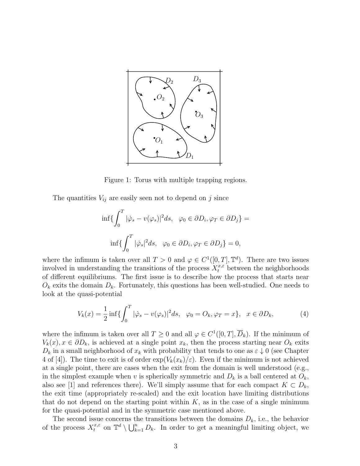

Figure 1: Torus with multiple trapping regions.

The quantities  $V_{ij}$  are easily seen not to depend on j since

$$
\inf \{ \int_0^T |\dot{\varphi}_s - v(\varphi_s)|^2 ds, \ \varphi_0 \in \partial D_i, \varphi_T \in \partial D_j \} =
$$
  

$$
\inf \{ \int_0^T |\dot{\varphi}_s|^2 ds, \ \varphi_0 \in \partial D_i, \varphi_T \in \partial D_j \} = 0,
$$

where the infimum is taken over all  $T > 0$  and  $\varphi \in C^1([0, T], \mathbb{T}^d)$ . There are two issues involved in understanding the transitions of the process  $X_t^{x,\varepsilon}$  between the neighborhoods of different equilibriums. The first issue is to describe how the process that starts near  $O_k$  exits the domain  $D_k$ . Fortunately, this questions has been well-studied. One needs to look at the quasi-potential

$$
V_k(x) = \frac{1}{2} \inf \{ \int_0^T |\dot{\varphi}_s - v(\varphi_s)|^2 ds, \ \varphi_0 = O_k, \varphi_T = x \}, \ x \in \partial D_k,
$$
 (4)

where the infimum is taken over all  $T \geq 0$  and all  $\varphi \in C^1([0,T], \overline{D}_k)$ . If the minimum of  $V_k(x)$ ,  $x \in \partial D_k$ , is achieved at a single point  $x_k$ , then the process starting near  $O_k$  exits  $D_k$  in a small neighborhood of  $x_k$  with probability that tends to one as  $\varepsilon \downarrow 0$  (see Chapter 4 of [4]). The time to exit is of order  $\exp(V_k(x_k)/\varepsilon)$ . Even if the minimum is not achieved at a single point, there are cases when the exit from the domain is well understood (e.g., in the simplest example when v is spherically symmetric and  $D_k$  is a ball centered at  $O_k$ , also see [1] and references there). We'll simply assume that for each compact  $K \subset D_k$ , the exit time (appropriately re-scaled) and the exit location have limiting distributions that do not depend on the starting point within  $K$ , as in the case of a single minimum for the quasi-potential and in the symmetric case mentioned above.

The second issue concerns the transitions between the domains  $D_k$ , i.e., the behavior of the process  $X_t^{x,\varepsilon}$  on  $\mathbb{T}^d \setminus \bigcup_{k=1}^n D_k$ . In order to get a meaningful limiting object, we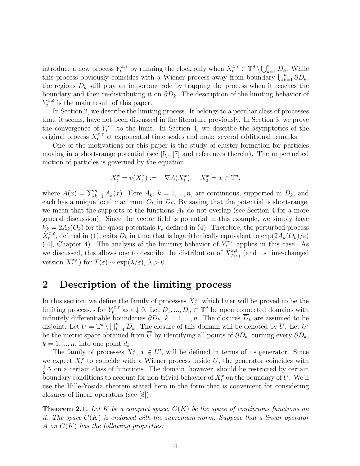introduce a new process  $Y_t^{x,\varepsilon}$  by running the clock only when  $X_t^{x,\varepsilon} \in \mathbb{T}^d \setminus \bigcup_{k=1}^n D_k$ . While this process obviously coincides with a Wiener process away from boundary  $\bigcup_{k=1}^{n} \partial D_k$ , the regions  $D_k$  still play an important role by trapping the process when it reaches the boundary and then re-distributing it on  $\partial D_k$ . The description of the limiting behavior of  $Y_t^{x,\varepsilon}$  $\tau_t^{x,\varepsilon}$  is the main result of this paper.

In Section 2, we describe the limiting process. It belongs to a peculiar class of processes that, it seems, have not been discussed in the literature previously. In Section 3, we prove the convergence of  $Y_t^{x,\varepsilon}$  $t^{x,\varepsilon}$  to the limit. In Section 4, we describe the asymptotics of the original process  $X_t^{x,\varepsilon}$  at exponential time scales and make several additional remarks.

One of the motivations for this paper is the study of cluster formation for particles moving in a short-range potential (see [5], [7] and references therein). The unperturbed motion of particles is governed by the equation

$$
\dot{X}_t^x = v(X_t^x) := -\nabla A(X_t^x), \quad X_0^x = x \in \mathbb{T}^d,
$$

where  $A(x) = \sum_{k=1}^{n} A_k(x)$ . Here  $A_k$ ,  $k = 1, ..., n$ , are continuous, supported in  $D_k$ , and each has a unique local maximum  $O_k$  in  $D_k$ . By saying that the potential is short-range, we mean that the supports of the functions  $A_k$  do not overlap (see Section 4 for a more general discussion). Since the vector field is potential in this example, we simply have  $V_k = 2A_k(O_k)$  for the quasi-potentials  $V_k$  defined in (4). Therefore, the perturbed process  $\tilde{X}^{x,\varepsilon}_t$ , defined in (1), exits  $D_k$  in time that is logarithmically equivalent to  $\exp(2A_k\tilde{(O_k)}/\varepsilon)$ ([4], Chapter 4). The analysis of the limiting behavior of  $Y_{t_{\infty}}^{x,\varepsilon}$  applies in this case. As we discussed, this allows one to describe the distribution of  $\tilde{X}^{x,\varepsilon}_{T(\varepsilon)}$  (and its time-changed version  $X_t^{x,\varepsilon}$  $t^{x,\varepsilon}$ ) for  $T(\varepsilon) \sim \exp(\lambda/\varepsilon), \lambda > 0.$ 

## 2 Description of the limiting process

In this section, we define the family of processes  $X_t^x$ , which later will be proved to be the limiting processes for  $Y_t^{x,\varepsilon}$  as  $\varepsilon \downarrow 0$ . Let  $D_1, ..., D_n \subset \mathbb{T}^d$  be open connected domains with infinitely differentiable boundaries  $\partial D_k$ ,  $k = 1, ..., n$ . The closures  $\overline{D}_k$  are assumed to be disjoint. Let  $U = \mathbb{T}^d \setminus \bigcup_{k=1}^n \overline{D}_k$ . The closure of this domain will be denoted by  $\overline{U}$ . Let  $U'$ be the metric space obtained from U by identifying all points of  $\partial D_k$ , turning every  $\partial D_k$ ,  $k = 1, \ldots, n$ , into one point  $d_k$ .

The family of processes  $X_t^x$ ,  $x \in U'$ , will be defined in terms of its generator. Since we expect  $X_t^x$  to coincide with a Wiener process inside U, the generator coincides with  $\frac{1}{2}\Delta$  on a certain class of functions. The domain, however, should be restricted by certain boundary conditions to account for non-trivial behavior of  $X_t^x$  on the boundary of U. We'll use the Hille-Yosida theorem stated here in the form that is convenient for considering closures of linear operators (see [8]).

**Theorem 2.1.** Let K be a compact space,  $C(K)$  be the space of continuous functions on it. The space  $C(K)$  is endowed with the supremum norm. Suppose that a linear operator A on  $C(K)$  has the following properties: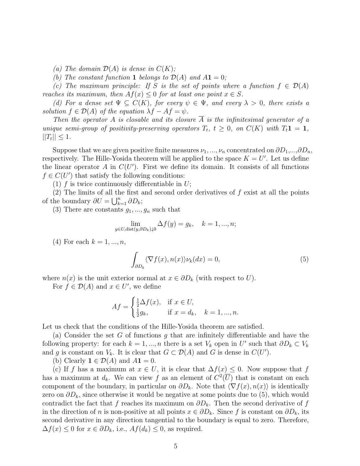(a) The domain  $\mathcal{D}(A)$  is dense in  $C(K)$ ;

(b) The constant function 1 belongs to  $\mathcal{D}(A)$  and  $A1 = 0$ ;

(c) The maximum principle: If S is the set of points where a function  $f \in \mathcal{D}(A)$ reaches its maximum, then  $Af(x) \leq 0$  for at least one point  $x \in S$ .

(d) For a dense set  $\Psi \subseteq C(K)$ , for every  $\psi \in \Psi$ , and every  $\lambda > 0$ , there exists a solution  $f \in \mathcal{D}(A)$  of the equation  $\lambda f - Af = \psi$ .

Then the operator A is closable and its closure A is the infinitesimal generator of a unique semi-group of positivity-preserving operators  $T_t$ ,  $t \geq 0$ , on  $C(K)$  with  $T_t \mathbf{1} = \mathbf{1}$ ,  $||T_t|| \leq 1.$ 

Suppose that we are given positive finite measures  $\nu_1, ..., \nu_n$  concentrated on  $\partial D_1, ..., \partial D_n$ , respectively. The Hille-Yosida theorem will be applied to the space  $K = U'$ . Let us define the linear operator  $A$  in  $C(U')$ . First we define its domain. It consists of all functions  $f \in C(U')$  that satisfy the following conditions:

(1) f is twice continuously differentiable in  $U$ ;

(2) The limits of all the first and second order derivatives of f exist at all the points of the boundary  $\partial U = \bigcup_{k=1}^n \partial D_k;$ 

(3) There are constants  $g_1, ..., g_n$  such that

$$
\lim_{y \in U, \text{dist}(y, \partial D_k)\downarrow 0} \Delta f(y) = g_k, \quad k = 1, ..., n;
$$

(4) For each  $k = 1, ..., n$ ,

$$
\int_{\partial D_k} \langle \nabla f(x), n(x) \rangle \nu_k(dx) = 0,\tag{5}
$$

where  $n(x)$  is the unit exterior normal at  $x \in \partial D_k$  (with respect to U).

For  $f \in \mathcal{D}(A)$  and  $x \in U'$ , we define

$$
Af = \begin{cases} \frac{1}{2}\Delta f(x), & \text{if } x \in U, \\ \frac{1}{2}g_k, & \text{if } x = d_k, \quad k = 1, ..., n. \end{cases}
$$

Let us check that the conditions of the Hille-Yosida theorem are satisfied.

(a) Consider the set G of functions g that are infinitely differentiable and have the following property: for each  $k = 1, ..., n$  there is a set  $V_k$  open in U' such that  $\partial D_k \subset V_k$ and g is constant on  $V_k$ . It is clear that  $G \subset \mathcal{D}(A)$  and G is dense in  $C(U')$ .

(b) Clearly  $\mathbf{1} \in \mathcal{D}(A)$  and  $A\mathbf{1} = 0$ .

(c) If f has a maximum at  $x \in U$ , it is clear that  $\Delta f(x) \leq 0$ . Now suppose that f has a maximum at  $d_k$ . We can view f as an element of  $C^2(\overline{U})$  that is constant on each component of the boundary, in particular on  $\partial D_k$ . Note that  $\langle \nabla f(x), n(x) \rangle$  is identically zero on  $\partial D_k$ , since otherwise it would be negative at some points due to (5), which would contradict the fact that f reaches its maximum on  $\partial D_k$ . Then the second derivative of f in the direction of n is non-positive at all points  $x \in \partial D_k$ . Since f is constant on  $\partial D_k$ , its second derivative in any direction tangential to the boundary is equal to zero. Therefore,  $\Delta f(x) \leq 0$  for  $x \in \partial D_k$ , i.e.,  $Af(d_k) \leq 0$ , as required.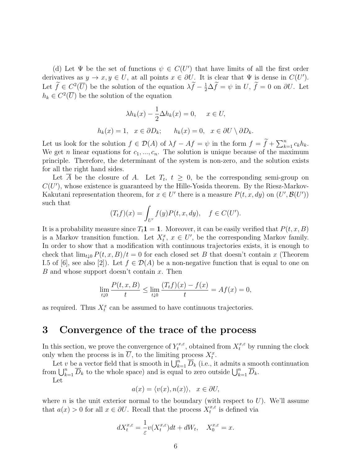(d) Let  $\Psi$  be the set of functions  $\psi \in C(U')$  that have limits of all the first order derivatives as  $y \to x, y \in U$ , at all points  $x \in \partial U$ . It is clear that  $\Psi$  is dense in  $C(U')$ . Let  $\tilde{f} \in C^2(\overline{U})$  be the solution of the equation  $\lambda \tilde{f} - \frac{1}{2} \Delta \tilde{f} = \psi$  in U,  $\tilde{f} = 0$  on  $\partial U$ . Let  $h_k \in C^2(\overline{U})$  be the solution of the equation

$$
\lambda h_k(x) - \frac{1}{2} \Delta h_k(x) = 0, \quad x \in U,
$$
  

$$
h_k(x) = 1, \quad x \in \partial D_k; \qquad h_k(x) = 0, \quad x \in \partial U \setminus \partial D_k.
$$

Let us look for the solution  $f \in \mathcal{D}(A)$  of  $\lambda f - Af = \psi$  in the form  $f = \widetilde{f} + \sum_{k=1}^n c_k h_k$ . We get n linear equations for  $c_1, ..., c_n$ . The solution is unique because of the maximum principle. Therefore, the determinant of the system is non-zero, and the solution exists for all the right hand sides.

Let  $\overline{A}$  be the closure of A. Let  $T_t$ ,  $t \geq 0$ , be the corresponding semi-group on  $C(U')$ , whose existence is guaranteed by the Hille-Yosida theorem. By the Riesz-Markov-Kakutani representation theorem, for  $x \in U'$  there is a measure  $P(t, x, dy)$  on  $(U', \mathcal{B}(U'))$ such that

$$
(T_t f)(x) = \int_{U'} f(y) P(t, x, dy), \quad f \in C(U').
$$

It is a probability measure since  $T<sub>t</sub>1 = 1$ . Moreover, it can be easily verified that  $P(t, x, B)$ is a Markov transition function. Let  $X_t^x$ ,  $x \in U'$ , be the corresponding Markov family. In order to show that a modification with continuous trajectories exists, it is enough to check that  $\lim_{t\downarrow 0} P(t, x, B)/t = 0$  for each closed set B that doesn't contain x (Theorem I.5 of [6], see also [2]). Let  $f \in \mathcal{D}(A)$  be a non-negative function that is equal to one on  $B$  and whose support doesn't contain  $x$ . Then

$$
\lim_{t \downarrow 0} \frac{P(t, x, B)}{t} \le \lim_{t \downarrow 0} \frac{(T_t f)(x) - f(x)}{t} = Af(x) = 0,
$$

as required. Thus  $X_t^x$  can be assumed to have continuous trajectories.

## 3 Convergence of the trace of the process

In this section, we prove the convergence of  $Y_t^{x,\varepsilon}$ <sup> $\tau_t^{x,\varepsilon}$ </sup>, obtained from  $X_t^{x,\varepsilon}$  by running the clock only when the process is in  $\overline{U}$ , to the limiting process  $X_t^x$ .

Let v be a vector field that is smooth in  $\bigcup_{k=1}^n \overline{D}_k$  (i.e., it admits a smooth continuation from  $\bigcup_{k=1}^n \overline{D}_k$  to the whole space) and is equal to zero outside  $\bigcup_{k=1}^n \overline{D}_k$ .

Let

$$
a(x) = \langle v(x), n(x) \rangle, \ \ x \in \partial U,
$$

where *n* is the unit exterior normal to the boundary (with respect to  $U$ ). We'll assume that  $a(x) > 0$  for all  $x \in \partial U$ . Recall that the process  $X_t^{x,\varepsilon}$  $t^{x,\varepsilon}$  is defined via

$$
dX_t^{x,\varepsilon} = \frac{1}{\varepsilon}v(X_t^{x,\varepsilon})dt + dW_t, \quad X_0^{x,\varepsilon} = x.
$$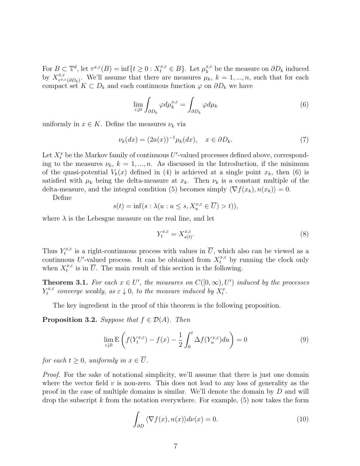For  $B \subset \mathbb{T}^d$ , let  $\tau^{x,\varepsilon}(B) = \inf\{t \geq 0 : X_t^{x,\varepsilon} \in B\}$ . Let  $\mu_k^{x,\varepsilon}$  $k_k^{x,\varepsilon}$  be the measure on  $\partial D_k$  induced by  $X^{x,\varepsilon}_{\tau^{x,\varepsilon}}$  $\tau^{x,\varepsilon}$ <sub> $\tau^{x,\varepsilon}(\partial D_k)$ </sub>. We'll assume that there are measures  $\mu_k$ ,  $k = 1, ..., n$ , such that for each compact set  $K \subset D_k$  and each continuous function  $\varphi$  on  $\partial D_k$  we have

$$
\lim_{\varepsilon \downarrow 0} \int_{\partial D_k} \varphi d\mu_k^{x,\varepsilon} = \int_{\partial D_k} \varphi d\mu_k \tag{6}
$$

uniformly in  $x \in K$ . Define the measures  $\nu_k$  via

$$
\nu_k(dx) = (2a(x))^{-1}\mu_k(dx), \quad x \in \partial D_k. \tag{7}
$$

Let  $X_t^x$  be the Markov family of continuous U'-valued processes defined above, corresponding to the measures  $\nu_k$ ,  $k = 1, ..., n$ . As discussed in the Introduction, if the minimum of the quasi-potential  $V_k(x)$  defined in (4) is achieved at a single point  $x_k$ , then (6) is satisfied with  $\mu_k$  being the delta-measure at  $x_k$ . Then  $\nu_k$  is a constant multiple of the delta-measure, and the integral condition (5) becomes simply  $\langle \nabla f(x_k), n(x_k) \rangle = 0.$ 

Define

$$
s(t) = \inf(s : \lambda(u : u \le s, X_u^{x, \varepsilon} \in \overline{U}) > t)),
$$

where  $\lambda$  is the Lebesgue measure on the real line, and let

$$
Y_t^{x,\varepsilon} = X_{s(t)}^{x,\varepsilon}.\tag{8}
$$

Thus  $Y_t^{x,\varepsilon}$  $t^{x,\varepsilon}$  is a right-continuous process with values in  $\overline{U}$ , which also can be viewed as a continuous U'-valued process. It can be obtained from  $X_t^{x,\varepsilon}$  by running the clock only when  $X_t^{x,\varepsilon}$  $t^{x,\varepsilon}$  is in  $\overline{U}$ . The main result of this section is the following.

**Theorem 3.1.** For each  $x \in U'$ , the measures on  $C([0,\infty), U')$  induced by the processes  $Y_t^{x,\varepsilon}$  $\mathcal{E}_t^{x,\varepsilon}$  converge weakly, as  $\varepsilon \downarrow 0$ , to the measure induced by  $X_t^x$ .

The key ingredient in the proof of this theorem is the following proposition.

**Proposition 3.2.** Suppose that  $f \in \mathcal{D}(A)$ . Then

$$
\lim_{\varepsilon \downarrow 0} \mathcal{E}\left(f(Y_t^{x,\varepsilon}) - f(x) - \frac{1}{2} \int_0^t \Delta f(Y_u^{x,\varepsilon}) du\right) = 0
$$
\n(9)

for each  $t \geq 0$ , uniformly in  $x \in \overline{U}$ .

Proof. For the sake of notational simplicity, we'll assume that there is just one domain where the vector field  $v$  is non-zero. This does not lead to any loss of generality as the proof in the case of multiple domains is similar. We'll denote the domain by D and will drop the subscript  $k$  from the notation everywhere. For example,  $(5)$  now takes the form

$$
\int_{\partial D} \langle \nabla f(x), n(x) \rangle d\nu(x) = 0.
$$
\n(10)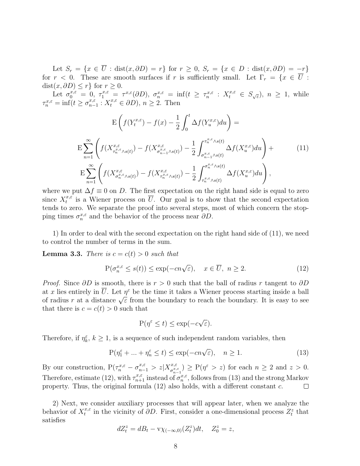Let  $S_r = \{x \in \overline{U} : dist(x, \partial D) = r\}$  for  $r \geq 0$ ,  $S_r = \{x \in D : dist(x, \partial D) = -r\}$ for  $r < 0$ . These are smooth surfaces if r is sufficiently small. Let  $\Gamma_r = \{x \in \overline{U} :$  $dist(x, \partial D) \leq r$ } for  $r \geq 0$ .

Let  $\sigma_0^{x,\varepsilon} = 0$ ,  $\tau_1^{x,\varepsilon} = \tau^{x,\varepsilon}(\partial D)$ ,  $\sigma_n^{x,\varepsilon} = \inf(t \geq \tau_n^{x,\varepsilon} : X_t^{x,\varepsilon} \in S_{\sqrt{\varepsilon}}$ ,  $n \geq 1$ , while  $\tau_n^{x,\varepsilon} = \inf(t \geq \sigma_{n-}^{x,\varepsilon})$  $x_{n-1}^{x,\varepsilon}: X_t^{x,\varepsilon} \in \partial D$ ,  $n \geq 2$ . Then

$$
E\left(f(Y_t^{x,\varepsilon}) - f(x) - \frac{1}{2} \int_0^t \Delta f(Y_u^{x,\varepsilon}) du\right) =
$$
  
\n
$$
E\sum_{n=1}^{\infty} \left( f(X_{\tau_n^{x,\varepsilon}, s(s)}^{x,\varepsilon}) - f(X_{\sigma_{n-1}^{x,\varepsilon}, s(t)}^{x,\varepsilon}) - \frac{1}{2} \int_{\sigma_{n-1}^{x,\varepsilon}, s(t)}^{\tau_n^{x,\varepsilon}, s(t)} \Delta f(X_u^{x,\varepsilon}) du\right) +
$$
  
\n
$$
E\sum_{n=1}^{\infty} \left( f(X_{\sigma_n^{x,\varepsilon}, s(s)}^{x,\varepsilon}) - f(X_{\tau_n^{x,\varepsilon}, s(t)}^{x,\varepsilon}) - \frac{1}{2} \int_{\tau_n^{x,\varepsilon}, s(t)}^{\sigma_n^{x,\varepsilon}, s(t)} \Delta f(X_u^{x,\varepsilon}) du\right),
$$
\n(11)

where we put  $\Delta f \equiv 0$  on D. The first expectation on the right hand side is equal to zero since  $X_t^{x,\varepsilon}$  $t^{x,\varepsilon}$  is a Wiener process on U. Our goal is to show that the second expectation tends to zero. We separate the proof into several steps, most of which concern the stopping times  $\sigma_n^{x,\varepsilon}$  and the behavior of the process near  $\partial D$ .

1) In order to deal with the second expectation on the right hand side of (11), we need to control the number of terms in the sum.

**Lemma 3.3.** There is  $c = c(t) > 0$  such that

$$
P(\sigma_n^{x,\varepsilon} \le s(t)) \le \exp(-cn\sqrt{\varepsilon}), \quad x \in \overline{U}, \ n \ge 2. \tag{12}
$$

*Proof.* Since  $\partial D$  is smooth, there is  $r > 0$  such that the ball of radius r tangent to  $\partial D$ at x lies entirely in  $\overline{U}$ . Let  $\eta^{\varepsilon}$  be the time it takes a Wiener process starting inside a ball at x hes entirely in  $\sigma$ . Let  $\eta$  be the time it takes a widdler process starting inside a band of radius r at a distance  $\sqrt{\varepsilon}$  from the boundary to reach the boundary. It is easy to see that there is  $c = c(t) > 0$  such that

$$
P(\eta^{\varepsilon} \le t) \le \exp(-c\sqrt{\varepsilon}).
$$

Therefore, if  $\eta_k^{\varepsilon}$ ,  $k \geq 1$ , is a sequence of such independent random variables, then

$$
P(\eta_1^{\varepsilon} + \dots + \eta_n^{\varepsilon} \le t) \le \exp(-cn\sqrt{\varepsilon}), \quad n \ge 1.
$$
 (13)

By our construction,  $P(\tau_n^{x,\varepsilon} - \sigma_{n-1}^{x,\varepsilon} > z | X_{\sigma_x^{x,\varepsilon}}^{x,\varepsilon})$  $\binom{x,\varepsilon}{\sigma_{n-1}^{x,\varepsilon}} \geq P(\eta^{\varepsilon} > z)$  for each  $n \geq 2$  and  $z > 0$ . Therefore, estimate (12), with  $\tau_{n+1}^{x,\varepsilon}$  instead of  $\sigma_n^{x,\varepsilon}$ , follows from (13) and the strong Markov property. Thus, the original formula (12) also holds, with a different constant c.  $\Box$ 

2) Next, we consider auxiliary processes that will appear later, when we analyze the behavior of  $X_t^{x,\varepsilon}$  $x_t^{x,\varepsilon}$  in the vicinity of  $\partial D$ . First, consider a one-dimensional process  $Z_t^z$  that satisfies

$$
dZ_t^z = dB_t - \mathbf{v}\chi_{(-\infty,0)}(Z_t^z)dt, \quad Z_0^z = z,
$$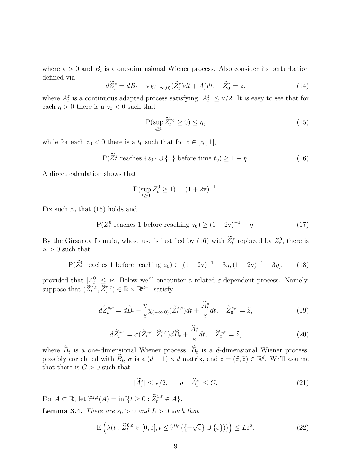where  $v > 0$  and  $B_t$  is a one-dimensional Wiener process. Also consider its perturbation defined via

$$
d\widetilde{Z}_t^z = dB_t - \mathbf{v}\chi_{(-\infty,0)}(\widetilde{Z}_t^z)dt + A_t^z dt, \quad \widetilde{Z}_0^z = z,
$$
\n(14)

where  $A_t^z$  is a continuous adapted process satisfying  $|A_t^z| \leq v/2$ . It is easy to see that for each  $\eta > 0$  there is a  $z_0 < 0$  such that

$$
\mathcal{P}(\sup_{t\geq 0} \widetilde{Z}_t^{z_0} \geq 0) \leq \eta,\tag{15}
$$

while for each  $z_0 < 0$  there is a  $t_0$  such that for  $z \in [z_0, 1]$ ,

$$
P(\widetilde{Z}_t^z \text{ reaches } \{z_0\} \cup \{1\} \text{ before time } t_0) \ge 1 - \eta. \tag{16}
$$

A direct calculation shows that

$$
P(\sup_{t\geq 0} Z_t^0 \geq 1) = (1+2v)^{-1}.
$$

Fix such  $z_0$  that (15) holds and

$$
P(Z_t^0 \text{ reaches 1 before reaching } z_0) \ge (1+2v)^{-1} - \eta. \tag{17}
$$

By the Girsanov formula, whose use is justified by (16) with  $\overline{Z_t^z}$  replaced by  $Z_t^0$ , there is  $x > 0$  such that

$$
P(\widetilde{Z}_t^0 \text{ reaches 1 before reaching } z_0) \in [(1+2v)^{-1} - 3\eta, (1+2v)^{-1} + 3\eta],
$$
 (18)

provided that  $|A_t^0| \leq \varkappa$ . Below we'll encounter a related  $\varepsilon$ -dependent process. Namely, suppose that  $(\widetilde{Z}_t^{z,\varepsilon},\widehat{Z}_t^{z,\varepsilon}) \in \mathbb{R} \times \mathbb{R}^{d-1}$  satisfy

$$
d\widetilde{Z}^{z,\varepsilon}_t = d\widetilde{B}_t - \frac{\mathrm{v}}{\varepsilon} \chi_{(-\infty,0)}(\widetilde{Z}^{z,\varepsilon}_t)dt + \frac{\widetilde{A}^z_t}{\varepsilon}dt, \quad \widetilde{Z}^{z,\varepsilon}_0 = \widetilde{z},\tag{19}
$$

$$
d\widehat{Z}^{z,\varepsilon}_t = \sigma(\widetilde{Z}^{z,\varepsilon}_t, \widehat{Z}^{z,\varepsilon}_t) d\widehat{B}_t + \frac{\widehat{A}^z_t}{\varepsilon} dt, \quad \widehat{Z}^{z,\varepsilon}_0 = \widehat{z}, \tag{20}
$$

where  $B_t$  is a one-dimensional Wiener process,  $B_t$  is a d-dimensional Wiener process, possibly correlated with  $\widetilde{B}_t$ ,  $\sigma$  is a  $(d-1) \times d$  matrix, and  $z = (\widetilde{z}, \widehat{z}) \in \mathbb{R}^d$ . We'll assume that there is  $C > 0$  such that

$$
|\tilde{A}_t^z| \le \text{v}/2, \quad |\sigma|, |\tilde{A}_t^z| \le C. \tag{21}
$$

For  $A \subset \mathbb{R}$ , let  $\tilde{\tau}^{z,\varepsilon}(A) = \inf\{t \geq 0 : \tilde{Z}_t^{z,\varepsilon} \in A\}.$ **Lemma 3.4.** There are  $\varepsilon_0 > 0$  and  $L > 0$  such that

$$
\mathcal{E}\left(\lambda(t:\widetilde{Z}_{t}^{0,\varepsilon}\in[0,\varepsilon],t\leq\widetilde{\tau}^{0,\varepsilon}(\{-\sqrt{\varepsilon}\}\cup\{\varepsilon\}))\right)\leq L\varepsilon^{2},\tag{22}
$$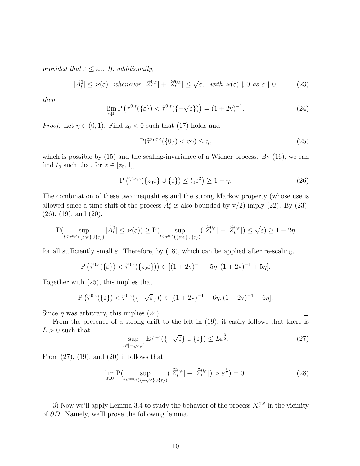provided that  $\varepsilon \leq \varepsilon_0$ . If, additionally,

$$
|\widetilde{A}_t^0| \le \varkappa(\varepsilon) \quad \text{whenever} \quad |\widetilde{Z}_t^{0,\varepsilon}| + |\widehat{Z}_t^{0,\varepsilon}| \le \sqrt{\varepsilon}, \quad \text{with} \ \ \varkappa(\varepsilon) \downarrow 0 \ \text{as} \ \varepsilon \downarrow 0,\tag{23}
$$

then

$$
\lim_{\varepsilon \downarrow 0} \mathbf{P}\left(\tilde{\tau}^{0,\varepsilon}(\{\varepsilon\}) < \tilde{\tau}^{0,\varepsilon}(\{-\sqrt{\varepsilon}\})\right) = (1+2\mathbf{v})^{-1}.\tag{24}
$$

*Proof.* Let  $\eta \in (0,1)$ . Find  $z_0 < 0$  such that (17) holds and

$$
P(\tilde{\tau}^{z_0 \varepsilon, \varepsilon}(\{0\}) < \infty) \le \eta,
$$
\n(25)

which is possible by  $(15)$  and the scaling-invariance of a Wiener process. By  $(16)$ , we can find  $t_0$  such that for  $z \in [z_0, 1]$ ,

$$
P\left(\tilde{\tau}^{ze,\varepsilon}(\{z_0\varepsilon\}\cup\{\varepsilon\})\leq t_0\varepsilon^2\right)\geq 1-\eta.
$$
\n(26)

The combination of these two inequalities and the strong Markov property (whose use is allowed since a time-shift of the process  $A_t^z$  is also bounded by v/2) imply (22). By (23),  $(26)$ ,  $(19)$ , and  $(20)$ ,

$$
\mathbf{P}(\sup_{t \le \tilde{\tau}^{0,\varepsilon}(\{z_0 \varepsilon\} \cup \{\varepsilon\})} |\tilde{A}_t^0| \le \varkappa(\varepsilon)) \ge \mathbf{P}(\sup_{t \le \tilde{\tau}^{0,\varepsilon}(\{z_0 \varepsilon\} \cup \{\varepsilon\})} (|\tilde{Z}_t^{0,\varepsilon}| + |\hat{Z}_t^{0,\varepsilon}|) \le \sqrt{\varepsilon}) \ge 1 - 2\eta
$$

for all sufficiently small  $\varepsilon$ . Therefore, by (18), which can be applied after re-scaling,

$$
P\left(\widetilde{\tau}^{0,\varepsilon}(\{\varepsilon\}) < \widetilde{\tau}^{0,\varepsilon}(\{z_0\varepsilon\})\right) \in [(1+2v)^{-1} - 5\eta, (1+2v)^{-1} + 5\eta].
$$

Together with (25), this implies that

$$
P\left(\widetilde{\tau}^{0,\varepsilon}(\{\varepsilon\}) < \widetilde{\tau}^{0,\varepsilon}(\{-\sqrt{\varepsilon}\})\right) \in [(1+2v)^{-1} - 6\eta, (1+2v)^{-1} + 6\eta].
$$

Since  $\eta$  was arbitrary, this implies (24).

From the presence of a strong drift to the left in (19), it easily follows that there is  $L > 0$  such that

$$
\sup_{z \in [-\sqrt{\varepsilon}, \varepsilon]} \mathbf{E} \widetilde{\tau}^{z,\varepsilon} (\{-\sqrt{\varepsilon}\} \cup \{\varepsilon\}) \le L\varepsilon^{\frac{3}{2}}.
$$
\n(27)

From  $(27)$ ,  $(19)$ , and  $(20)$  it follows that

$$
\lim_{\varepsilon \downarrow 0} \mathcal{P}(\sup_{t \le \tilde{\tau}^{0,\varepsilon}(\{-\sqrt{\varepsilon}\} \cup \{\varepsilon\})} (|\tilde{Z}_t^{0,\varepsilon}| + |\hat{Z}_t^{0,\varepsilon}|) > \varepsilon^{\frac{1}{3}}) = 0. \tag{28}
$$

3) Now we'll apply Lemma 3.4 to study the behavior of the process  $X_t^{x,\varepsilon}$  $t^{x,\varepsilon}$  in the vicinity of ∂D. Namely, we'll prove the following lemma.

 $\Box$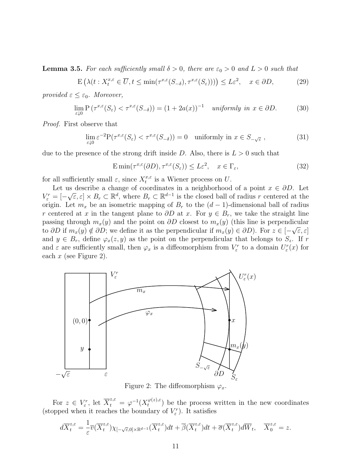**Lemma 3.5.** For each sufficiently small  $\delta > 0$ , there are  $\varepsilon_0 > 0$  and  $L > 0$  such that

$$
\mathcal{E}\left(\lambda(t: X_t^{x,\varepsilon} \in \overline{U}, t \le \min(\tau^{x,\varepsilon}(S_{-\delta}), \tau^{x,\varepsilon}(S_{\varepsilon})))\right) \le L\varepsilon^2, \quad x \in \partial D,\tag{29}
$$

provided  $\varepsilon \leq \varepsilon_0$ . Moreover,

$$
\lim_{\varepsilon \downarrow 0} \mathbf{P}\left(\tau^{x,\varepsilon}(S_{\varepsilon}) < \tau^{x,\varepsilon}(S_{-\delta})\right) = (1 + 2a(x))^{-1} \quad \text{uniformly in } x \in \partial D. \tag{30}
$$

Proof. First observe that

$$
\lim_{\varepsilon \downarrow 0} \varepsilon^{-2} P(\tau^{x,\varepsilon}(S_{\varepsilon}) < \tau^{x,\varepsilon}(S_{-\delta})) = 0 \quad \text{uniformly in } x \in S_{-\sqrt{\varepsilon}},\tag{31}
$$

due to the presence of the strong drift inside D. Also, there is  $L > 0$  such that

$$
\operatorname{E\,min}(\tau^{x,\varepsilon}(\partial D), \tau^{x,\varepsilon}(S_{\varepsilon})) \le L\varepsilon^2, \quad x \in \Gamma_{\varepsilon},\tag{32}
$$

for all sufficiently small  $\varepsilon$ , since  $X_t^{x,\varepsilon}$  $t^{x,\varepsilon}$  is a Wiener process on U.

Let us describe a change of coordinates in a neighborhood of a point  $x \in \partial D$ . Let  $V_{\varepsilon}^r = [$ is describe a change of coordinates in a neighborhood of a point  $x \in \partial D$ . Let  $\sqrt{\varepsilon}, \varepsilon] \times B_r \subset \mathbb{R}^d$ , where  $B_r \subset \mathbb{R}^{d-1}$  is the closed ball of radius r centered at the origin. Let  $m_x$  be an isometric mapping of  $B_r$  to the  $(d-1)$ -dimensional ball of radius r centered at x in the tangent plane to  $\partial D$  at x. For  $y \in B_r$ , we take the straight line passing through  $m_x(y)$  and the point on  $\partial D$  closest to  $m_x(y)$  (this line is perpendicular to  $\partial D$  if  $m_x(y) \notin \partial D$ ; we define it as the perpendicular if  $m_x(y) \in \partial D$ ). For  $z \in [-\sqrt{\varepsilon}, \varepsilon]$ and  $y \in B_r$ , define  $\varphi_x(z, y)$  as the point on the perpendicular that belongs to  $S_z$ . If r and  $\varepsilon$  are sufficiently small, then  $\varphi_x$  is a diffeomorphism from  $V^r_\varepsilon$  to a domain  $U^r_\varepsilon(x)$  for each  $x$  (see Figure 2).



Figure 2: The diffeomorphism  $\varphi_x$ .

For  $z \in V_{\varepsilon}^r$ , let  $\overline{X}_{t}^{z,\varepsilon} = \varphi^{-1}(X_{t}^{\varphi(z),\varepsilon})$  $(t_t^{(\varphi(z),\varepsilon})$  be the process written in the new coordinates (stopped when it reaches the boundary of  $V^r_{\varepsilon}$ ). It satisfies

$$
d\overline{X}^{z,\varepsilon}_t = \frac{1}{\varepsilon} \overline{v}(\overline{X}^{z,\varepsilon}_t) \chi_{[-\sqrt{\varepsilon},0] \times \mathbb{R}^{d-1}}(\overline{X}^{z,\varepsilon}_t) dt + \overline{\beta}(\overline{X}^{z,\varepsilon}_t) dt + \overline{\sigma}(\overline{X}^{z,\varepsilon}_t) d\overline{W}_t, \quad \overline{X}^{z,\varepsilon}_0 = z.
$$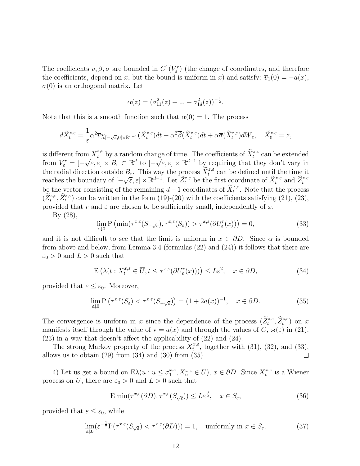The coefficients  $\overline{v}, \overline{\beta}, \overline{\sigma}$  are bounded in  $C^1(V^r_\varepsilon)$  (the change of coordinates, and therefore the coefficients, depend on x, but the bound is uniform in x) and satisfy:  $\overline{v}_1(0) = -a(x)$ ,  $\overline{\sigma}(0)$  is an orthogonal matrix. Let

$$
\alpha(z) = (\sigma_{11}^2(z) + \dots + \sigma_{1d}^2(z))^{-\frac{1}{2}}.
$$

Note that this is a smooth function such that  $\alpha(0) = 1$ . The process

$$
d\widetilde{X}^{z,\varepsilon}_t=\frac{1}{\varepsilon}\alpha^2\overline{v}\chi_{[-\sqrt{\varepsilon},0]\times\mathbb{R}^{d-1}}(\widetilde{X}^{z,\varepsilon}_t)dt+\alpha^2\overline{\beta}(\widetilde{X}^{z,\varepsilon}_t)dt+\alpha\overline{\sigma}(\widetilde{X}^{z,\varepsilon}_t)d\overline{W}_t,\quad \widetilde{X}^{z,\varepsilon}_0=z,
$$

is different from  $\overline{X}^{z,\varepsilon}_t$  by a random change of time. The coefficients of  $\widetilde{X}^{z,\varepsilon}_t$  can be extended from  $V_{\varepsilon}^r = [ \left[\begin{array}{c} \ln X_t \\ \sqrt{\varepsilon}, \varepsilon \end{array}\right] \times B_r \subset \mathbb{R}^d$  to  $\left[-\begin{array}{c} 1 \\ -1 \end{array}\right]$ ge of three. The coefficients of  $\mathcal{X}_t$  can be extended<br> $\sqrt{\varepsilon}, \varepsilon] \times \mathbb{R}^{d-1}$  by requiring that they don't vary in the radial direction outside  $B_r$ . This way the process  $\widetilde{X}_t^{z,\varepsilon}$  can be defined until the time it reaches the boundary of [−  $\mathcal{L}[\mathcal{E}, \mathcal{E}] \times \mathbb{R}^{d-1}$ . Let  $\widetilde{Z}_t^{z,\varepsilon}$  be the first coordinate of  $\widetilde{X}_t^{z,\varepsilon}$  and  $\widehat{Z}_t^{z,\varepsilon}$ be the vector consisting of the remaining  $d-1$  coordinates of  $\widetilde{X}_{t}^{z,\varepsilon}$ . Note that the process  $(\tilde{Z}_{t}^{z,\varepsilon},\tilde{Z}_{t}^{z,\varepsilon})$  can be written in the form  $(19)-(20)$  with the coefficients satisfying  $(21)$ ,  $(23)$ , provided that r and  $\varepsilon$  are chosen to be sufficiently small, independently of x.

By (28),

$$
\lim_{\varepsilon \downarrow 0} \mathcal{P}\left(\min(\tau^{x,\varepsilon}(S_{-\sqrt{\varepsilon}}), \tau^{x,\varepsilon}(S_{\varepsilon})) > \tau^{x,\varepsilon}(\partial U_{\varepsilon}^r(x))\right) = 0,\tag{33}
$$

and it is not difficult to see that the limit is uniform in  $x \in \partial D$ . Since  $\alpha$  is bounded from above and below, from Lemma 3.4 (formulas (22) and (24)) it follows that there are  $\varepsilon_0 > 0$  and  $L > 0$  such that

$$
\mathcal{E}\left(\lambda(t: X_t^{x,\varepsilon} \in \overline{U}, t \le \tau^{x,\varepsilon}(\partial U^r_{\varepsilon}(x)))\right) \le L\varepsilon^2, \quad x \in \partial D,\tag{34}
$$

provided that  $\varepsilon \leq \varepsilon_0$ . Moreover,

$$
\lim_{\varepsilon \downarrow 0} \mathbf{P}\left(\tau^{x,\varepsilon}(S_{\varepsilon}) < \tau^{x,\varepsilon}(S_{-\sqrt{\varepsilon}})\right) = (1 + 2a(x))^{-1}, \quad x \in \partial D. \tag{35}
$$

The convergence is uniform in x since the dependence of the process  $(\widetilde{Z}_{t}^{z,\varepsilon},\widehat{Z}_{t}^{z,\varepsilon})$  on x manifests itself through the value of  $v = a(x)$  and through the values of C,  $\varkappa(\varepsilon)$  in (21), (23) in a way that doesn't affect the applicability of (22) and (24).

The strong Markov property of the process  $X_t^{x,\varepsilon}$  $t^{x,\varepsilon}$ , together with (31), (32), and (33), allows us to obtain  $(29)$  from  $(34)$  and  $(30)$  from  $(35)$ .  $\Box$ 

4) Let us get a bound on  $E\lambda(u:u \leq \sigma_1^{x,\varepsilon})$  $u_1^{x,\varepsilon}, X_u^{x,\varepsilon} \in \overline{U}$ ,  $x \in \partial D$ . Since  $X_t^{x,\varepsilon}$  $t^{x,\varepsilon}$  is a Wiener process on U, there are  $\varepsilon_0 > 0$  and  $L > 0$  such that

$$
\operatorname{E\,min}(\tau^{x,\varepsilon}(\partial D), \tau^{x,\varepsilon}(S_{\sqrt{\varepsilon}})) \le L\varepsilon^{\frac{3}{2}}, \quad x \in S_{\varepsilon},\tag{36}
$$

provided that  $\varepsilon \leq \varepsilon_0$ , while

$$
\lim_{\varepsilon \downarrow 0} (\varepsilon^{-\frac{1}{2}} P(\tau^{x,\varepsilon}(S_{\sqrt{\varepsilon}}) < \tau^{x,\varepsilon}(\partial D))) = 1, \quad \text{uniformly in } x \in S_{\varepsilon}.\tag{37}
$$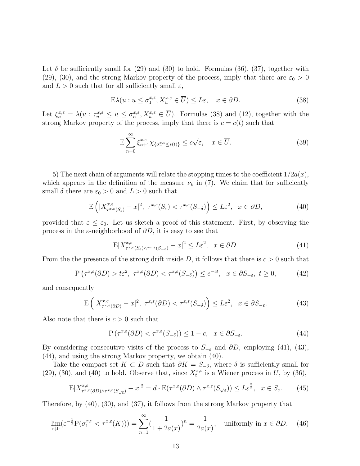Let  $\delta$  be sufficiently small for (29) and (30) to hold. Formulas (36), (37), together with (29), (30), and the strong Markov property of the process, imply that there are  $\varepsilon_0 > 0$ and  $L > 0$  such that for all sufficiently small  $\varepsilon$ ,

$$
E\lambda(u: u \le \sigma_1^{x,\varepsilon}, X_u^{x,\varepsilon} \in \overline{U}) \le L\varepsilon, \quad x \in \partial D. \tag{38}
$$

Let  $\xi_n^{x,\varepsilon} = \lambda(u : \tau_n^{x,\varepsilon} \le u \le \sigma_n^{x,\varepsilon}, X_u^{x,\varepsilon} \in \overline{U})$ . Formulas (38) and (12), together with the strong Markov property of the process, imply that there is  $c = c(t)$  such that

$$
\mathcal{E}\sum_{n=0}^{\infty}\xi_{n+1}^{x,\varepsilon}\chi_{\{\sigma_{n}^{x,\varepsilon}\leq s(t)\}}\leq c\sqrt{\varepsilon},\quad x\in\overline{U}.\tag{39}
$$

5) The next chain of arguments will relate the stopping times to the coefficient  $1/2a(x)$ , which appears in the definition of the measure  $\nu_k$  in (7). We claim that for sufficiently small  $\delta$  there are  $\varepsilon_0 > 0$  and  $L > 0$  such that

$$
\mathcal{E}\left(|X_{\tau^{x,\varepsilon}(S_{\varepsilon})}^{x,\varepsilon} - x|^2, \ \tau^{x,\varepsilon}(S_{\varepsilon}) < \tau^{x,\varepsilon}(S_{-\delta})\right) \le L\varepsilon^2, \ \ x \in \partial D,\tag{40}
$$

provided that  $\varepsilon \leq \varepsilon_0$ . Let us sketch a proof of this statement. First, by observing the process in the  $\varepsilon$ -neighborhood of  $\partial D$ , it is easy to see that

$$
\mathbb{E}|X_{\tau^{x,\varepsilon}(S_{\varepsilon})\wedge\tau^{x,\varepsilon}(S_{-\varepsilon})}-x|^2 \leq L\varepsilon^2, \quad x\in\partial D. \tag{41}
$$

From the the presence of the strong drift inside D, it follows that there is  $c > 0$  such that

$$
P\left(\tau^{x,\varepsilon}(\partial D) > t\varepsilon^2, \ \tau^{x,\varepsilon}(\partial D) < \tau^{x,\varepsilon}(S_{-\delta})\right) \le e^{-ct}, \ \ x \in \partial S_{-\varepsilon}, \ t \ge 0,\tag{42}
$$

and consequently

$$
\mathcal{E}\left(|X_{\tau^{x,\varepsilon}(\partial D)}^{x,\varepsilon} - x|^2, \ \tau^{x,\varepsilon}(\partial D) < \tau^{x,\varepsilon}(S_{-\delta})\right) \le L\varepsilon^2, \ \ x \in \partial S_{-\varepsilon}.\tag{43}
$$

Also note that there is  $c > 0$  such that

$$
P\left(\tau^{x,\varepsilon}(\partial D) < \tau^{x,\varepsilon}(S_{-\delta})\right) \le 1 - c, \quad x \in \partial S_{-\varepsilon}.\tag{44}
$$

By considering consecutive visits of the process to  $S_{-\varepsilon}$  and  $\partial D$ , employing (41), (43), (44), and using the strong Markov property, we obtain (40).

Take the compact set  $K \subset D$  such that  $\partial K = S_{-\delta}$ , where  $\delta$  is sufficiently small for (29), (30), and (40) to hold. Observe that, since  $X_t^{x,\varepsilon}$  $t^{x,\varepsilon}$  is a Wiener process in U, by (36),

$$
\mathbb{E}|X_{\tau^{x,\varepsilon}(\partial D)\wedge\tau^{x,\varepsilon}(S_{\sqrt{\varepsilon}})}^{x,\varepsilon}-x|^2=d\cdot\mathbb{E}(\tau^{x,\varepsilon}(\partial D)\wedge\tau^{x,\varepsilon}(S_{\sqrt{\varepsilon}}))\leq L\varepsilon^{\frac{3}{2}},\ \ x\in S_{\varepsilon}.\tag{45}
$$

Therefore, by (40), (30), and (37), it follows from the strong Markov property that

$$
\lim_{\varepsilon \downarrow 0} (\varepsilon^{-\frac{1}{2}} P(\sigma_1^{x,\varepsilon} < \tau^{x,\varepsilon}(K))) = \sum_{n=1}^{\infty} (\frac{1}{1+2a(x)})^n = \frac{1}{2a(x)}, \quad \text{uniformly in } x \in \partial D. \tag{46}
$$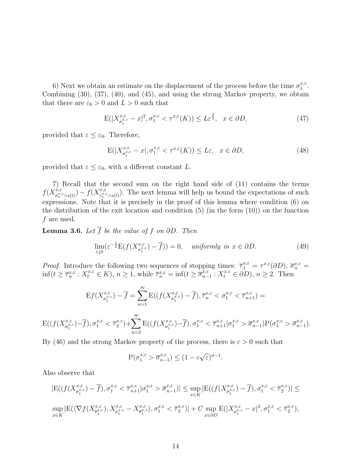6) Next we obtain an estimate on the displacement of the process before the time  $\sigma_1^{x,\varepsilon}$  $\frac{x}{1}$ . Combining (30), (37), (40), and (45), and using the strong Markov property, we obtain that there are  $\varepsilon_0 > 0$  and  $L > 0$  such that

$$
E(|X^{\mathbf{x},\varepsilon}_{\sigma_1^{\mathbf{x},\varepsilon}} - x|^2, \sigma_1^{\mathbf{x},\varepsilon} < \tau^{\mathbf{x},\varepsilon}(K)) \le L\varepsilon^{\frac{3}{2}}, \quad x \in \partial D,\tag{47}
$$

provided that  $\varepsilon \leq \varepsilon_0$ . Therefore,

$$
E(|X_{\sigma_1^{x,\varepsilon}}^{x,\varepsilon} - x|, \sigma_1^{x,\varepsilon} < \tau^{x,\varepsilon}(K)) \le L\varepsilon, \quad x \in \partial D,\tag{48}
$$

provided that  $\varepsilon \leq \varepsilon_0$ , with a different constant L.

7) Recall that the second sum on the right hand side of (11) contains the terms  $f(X_{\sigma^{x}}^{x,\varepsilon}% ,\varepsilon\in\mathbb{R}^{d})=\sum_{x,y\in X_{0}}\left( \sum_{x,y\in X_{0}}x_{y,y}\right) ^{x,y}\left( y_{y,y}\right) ^{x,y}\left( y_{y,y}\right)$  $f^{\dot{x},\varepsilon}_{\sigma^{\dot{x},\varepsilon}_n\wedge s(t)})-f(X^{x,\varepsilon}_{\tau^{\dot{x},\varepsilon}_n}$  $\tau_n^{x,\varepsilon}(\kappa_0 t)$ . The next lemma will help us bound the expectations of such expressions. Note that it is precisely in the proof of this lemma where condition (6) on the distribution of the exit location and condition  $(5)$  (in the form  $(10)$ ) on the function f are used.

**Lemma 3.6.** Let  $\overline{f}$  be the value of f on  $\partial D$ . Then

$$
\lim_{\varepsilon \downarrow 0} (\varepsilon^{-\frac{1}{2}} E(f(X_{\sigma_1^x}^{x,\varepsilon}) - \overline{f})) = 0, \quad \text{uniformly in } x \in \partial D. \tag{49}
$$

*Proof.* Introduce the following two sequences of stopping times:  $\overline{\tau}_1^{x,\varepsilon} = \tau^{x,\varepsilon}(\partial D)$ ,  $\overline{\sigma}_n^{x,\varepsilon} =$  $\inf(t \geq \overline{\tau}_n^{x,\varepsilon} : X_t^{x,\varepsilon} \in K), n \geq 1$ , while  $\overline{\tau}_n^{x,\varepsilon} = \inf(t \geq \overline{\sigma}_{n-1}^{x,\varepsilon}$  $x_{n-1}^{x,\varepsilon}: X_t^{x,\varepsilon} \in \partial D$ ,  $n \ge 2$ . Then

$$
Ef(X_{\sigma_1^{x,\varepsilon}}^{x,\varepsilon}) - \overline{f} = \sum_{n=1}^{\infty} E((f(X_{\sigma_1^{x,\varepsilon}}^{x,\varepsilon}) - \overline{f}), \overline{\tau}_n^{x,\varepsilon} < \sigma_1^{x,\varepsilon} < \overline{\tau}_{n+1}^{x,\varepsilon}) =
$$
\n
$$
E((f(X_{\sigma_1^{x,\varepsilon}}^{x,\varepsilon}) - \overline{f}), \sigma_1^{x,\varepsilon} < \overline{\tau}_2^{x,\varepsilon}) + \sum_{n=2}^{\infty} E((f(X_{\sigma_1^{x,\varepsilon}}^{x,\varepsilon}) - \overline{f}), \sigma_1^{x,\varepsilon} < \overline{\tau}_{n+1}^{x,\varepsilon} | \sigma_1^{x,\varepsilon} > \overline{\sigma}_{n-1}^{x,\varepsilon}) P(\sigma_1^{x,\varepsilon} > \overline{\sigma}_{n-1}^{x,\varepsilon}).
$$

By  $(46)$  and the strong Markov property of the process, there is  $c > 0$  such that

$$
\mathbf{P}(\sigma_1^{x,\varepsilon} > \overline{\sigma}_{n-1}^{x,\varepsilon}) \le (1 - c\sqrt{\varepsilon})^{n-1}.
$$

Also observe that

$$
|E((f(X^{x,\varepsilon}_{\sigma^{x,\varepsilon}_{1}})-\overline{f}),\sigma^{x,\varepsilon}_{1}<\overline{\tau}^{x,\varepsilon}_{n+1}|\sigma^{x,\varepsilon}_{1}>\overline{\sigma}^{x,\varepsilon}_{n-1})|\leq \sup_{x\in K}|E((f(X^{x,\varepsilon}_{\sigma^{x,\varepsilon}_{1}})-\overline{f}),\sigma^{x,\varepsilon}_{1}<\overline{\tau}^{x,\varepsilon}_{2})|\leq
$$
  
\n
$$
\sup_{x\in K}|E(\langle \nabla f(X^{x,\varepsilon}_{\overline{\tau}^{x,\varepsilon}_{1}}),X^{x,\varepsilon}_{\sigma^{x,\varepsilon}_{1}}-X^{x,\varepsilon}_{\overline{\tau}^{x,\varepsilon}_{1}}\rangle,\sigma^{x,\varepsilon}_{1}<\overline{\tau}^{x,\varepsilon}_{2})|+C\sup_{x\in\partial D}E(|X^{x,\varepsilon}_{\sigma^{x,\varepsilon}_{1}}-x|^{2},\sigma^{x,\varepsilon}_{1}<\overline{\tau}^{x,\varepsilon}_{2}),
$$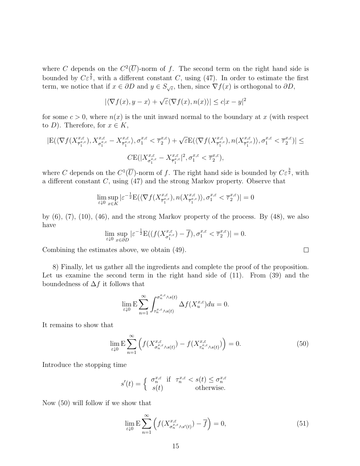where C depends on the  $C^2(\overline{U})$ -norm of f. The second term on the right hand side is bounded by  $C\varepsilon^{\frac{3}{2}}$ , with a different constant C, using (47). In order to estimate the first term, we notice that if  $x \in \partial D$  and  $y \in S_{\sqrt{\varepsilon}}$ , then, since  $\nabla f(x)$  is orthogonal to  $\partial D$ ,

$$
|\langle \nabla f(x), y - x \rangle + \sqrt{\varepsilon} \langle \nabla f(x), n(x) \rangle| \leq c |x - y|^2
$$

for some  $c > 0$ , where  $n(x)$  is the unit inward normal to the boundary at x (with respect to D). Therefore, for  $x \in K$ ,

$$
|E(\langle \nabla f(X^{x,\varepsilon}_{\overline{\tau}^{x,\varepsilon}_{1}}), X^{x,\varepsilon}_{\sigma_{1}^{x,\varepsilon}} - X^{x,\varepsilon}_{\overline{\tau}^{x,\varepsilon}_{1}}\rangle, \sigma_{1}^{x,\varepsilon} < \overline{\tau}^{x,\varepsilon}_{2}) + \sqrt{\varepsilon} E(\langle \nabla f(X^{x,\varepsilon}_{\overline{\tau}^{x,\varepsilon}_{1}}), n(X^{x,\varepsilon}_{\overline{\tau}^{x,\varepsilon}_{1}})\rangle, \sigma_{1}^{x,\varepsilon} < \overline{\tau}^{x,\varepsilon}_{2})| \leq
$$
  

$$
CE(|X^{x,\varepsilon}_{\sigma_{1}^{x,\varepsilon}} - X^{x,\varepsilon}_{\overline{\tau}^{x,\varepsilon}_{1}}|^{2}, \sigma_{1}^{x,\varepsilon} < \overline{\tau}^{x,\varepsilon}_{2}),
$$

where C depends on the  $C^1(\overline{U})$ -norm of f. The right hand side is bounded by  $C\varepsilon^{\frac{3}{2}}$ , with a different constant  $C$ , using  $(47)$  and the strong Markov property. Observe that

$$
\lim_{\varepsilon \downarrow 0} \sup_{x \in K} |\varepsilon^{-\frac{1}{2}} E(\langle \nabla f(X_{\overline{\tau}_1^{x,\varepsilon}}^{x,\varepsilon}), n(X_{\overline{\tau}_1^{x,\varepsilon}}^{x,\varepsilon}) \rangle, \sigma_1^{x,\varepsilon} < \overline{\tau}_2^{x,\varepsilon})| = 0
$$

by  $(6)$ ,  $(7)$ ,  $(10)$ ,  $(46)$ , and the strong Markov property of the process. By  $(48)$ , we also have

$$
\lim_{\varepsilon \downarrow 0} \sup_{x \in \partial D} |\varepsilon^{-\frac{1}{2}} \mathcal{E}((f(X_{\sigma_1^{x,\varepsilon}}^{x,\varepsilon}) - \overline{f}), \sigma_1^{x,\varepsilon} < \overline{\tau}_2^{x,\varepsilon})| = 0.
$$

Combining the estimates above, we obtain (49).

8) Finally, let us gather all the ingredients and complete the proof of the proposition. Let us examine the second term in the right hand side of  $(11)$ . From  $(39)$  and the boundedness of  $\Delta f$  it follows that

$$
\lim_{\varepsilon \downarrow 0} \mathbf{E} \sum_{n=1}^{\infty} \int_{\tau_n^{x,\varepsilon} \wedge s(t)}^{\sigma_n^{x,\varepsilon} \wedge s(t)} \Delta f(X_u^{x,\varepsilon}) du = 0.
$$

It remains to show that

$$
\lim_{\varepsilon \downarrow 0} \mathcal{E} \sum_{n=1}^{\infty} \left( f(X_{\sigma_n^{x,\varepsilon} \wedge s(t)}^{x,\varepsilon}) - f(X_{\tau_n^{x,\varepsilon} \wedge s(t)}^{x,\varepsilon}) \right) = 0. \tag{50}
$$

Introduce the stopping time

$$
s'(t) = \begin{cases} \n\sigma_n^{x,\varepsilon} & \text{if } \tau_n^{x,\varepsilon} < s(t) \le \sigma_n^{x,\varepsilon} \\ \ns(t) & \text{otherwise.}\n\end{cases}
$$

Now (50) will follow if we show that

$$
\lim_{\varepsilon \downarrow 0} \mathcal{E} \sum_{n=1}^{\infty} \left( f(X_{\sigma_n^{x,\varepsilon}, s'(t)}^{x,\varepsilon}) - \overline{f} \right) = 0,
$$
\n(51)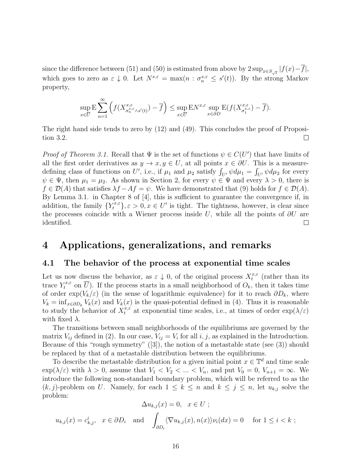since the difference between (51) and (50) is estimated from above by  $2 \sup_{x \in S_{\sqrt{\varepsilon}}} |f(x) - \overline{f}|$ , which goes to zero as  $\varepsilon \downarrow 0$ . Let  $N^{x,\varepsilon} = \max(n : \sigma_n^{x,\varepsilon} \leq s'(t))$ . By the strong Markov property,

$$
\sup_{x \in \overline{U}} \mathbf{E} \sum_{n=1}^{\infty} \left( f(X_{\sigma_n^{x,\varepsilon} \wedge s'(t)}^{x,\varepsilon}) - \overline{f} \right) \le \sup_{x \in \overline{U}} \mathbf{E} N^{x,\varepsilon} \sup_{x \in \partial D} \mathbf{E} (f(X_{\sigma_1^{x,\varepsilon}}^{x,\varepsilon}) - \overline{f}).
$$

The right hand side tends to zero by (12) and (49). This concludes the proof of Proposition 3.2.  $\Box$ 

*Proof of Theorem 3.1.* Recall that  $\Psi$  is the set of functions  $\psi \in C(U')$  that have limits of all the first order derivatives as  $y \to x, y \in U$ , at all points  $x \in \partial U$ . This is a measuredefining class of functions on U', i.e., if  $\mu_1$  and  $\mu_2$  satisfy  $\int_{U'} \psi d\mu_1 = \int_{U'} \psi d\mu_2$  for every  $\psi \in \Psi$ , then  $\mu_1 = \mu_2$ . As shown in Section 2, for every  $\psi \in \Psi$  and every  $\lambda > 0$ , there is  $f \in \mathcal{D}(A)$  that satisfies  $\lambda f - Af = \psi$ . We have demonstrated that (9) holds for  $f \in \mathcal{D}(A)$ . By Lemma 3.1. in Chapter 8 of [4], this is sufficient to guarantee the convergence if, in addition, the family  ${Y_t^{x,\varepsilon}}$ ,  $\varepsilon > 0, x \in U'$  is tight. The tightness, however, is clear since the processes coincide with a Wiener process inside U, while all the points of  $\partial U$  are identified.  $\Box$ 

## 4 Applications, generalizations, and remarks

### 4.1 The behavior of the process at exponential time scales

Let us now discuss the behavior, as  $\varepsilon \downarrow 0$ , of the original process  $X_t^{x,\varepsilon}$  $t^{x,\varepsilon}$  (rather than its trace  $Y_t^{x,\varepsilon}$  on  $\overline{U}$ ). If the process starts in a small neighborhood of  $O_k$ , then it takes time of order  $\exp(V_k/\varepsilon)$  (in the sense of logarithmic equivalence) for it to reach  $\partial D_k$ , where  $V_k = \inf_{x \in \partial D_k} V_k(x)$  and  $V_k(x)$  is the quasi-potential defined in (4). Thus it is reasonable to study the behavior of  $X_t^{x,\varepsilon}$  at exponential time scales, i.e., at times of order  $\exp(\lambda/\varepsilon)$ with fixed  $\lambda$ .

The transitions between small neighborhoods of the equilibriums are governed by the matrix  $V_{ij}$  defined in (2). In our case,  $V_{ij} = V_i$  for all  $i, j$ , as explained in the Introduction. Because of this "rough symmetry" ([3]), the notion of a metastable state (see (3)) should be replaced by that of a metastable distribution between the equilibriums.

To describe the metastable distribution for a given initial point  $x \in \mathbb{T}^d$  and time scale  $\exp(\lambda/\varepsilon)$  with  $\lambda > 0$ , assume that  $V_1 < V_2 < ... < V_n$ , and put  $V_0 = 0$ ,  $V_{n+1} = \infty$ . We introduce the following non-standard boundary problem, which will be referred to as the  $(k, j)$ -problem on U. Namely, for each  $1 \leq k \leq n$  and  $k \leq j \leq n$ , let  $u_{k,j}$  solve the problem:

$$
\Delta u_{k,j}(x) = 0, \quad x \in U ;
$$
  

$$
u_{k,j}(x) = c_{k,j}^i, \quad x \in \partial D_i \quad \text{and} \quad \int_{\partial D_i} \langle \nabla u_{k,j}(x), n(x) \rangle \nu_i(dx) = 0 \quad \text{for } 1 \le i < k ;
$$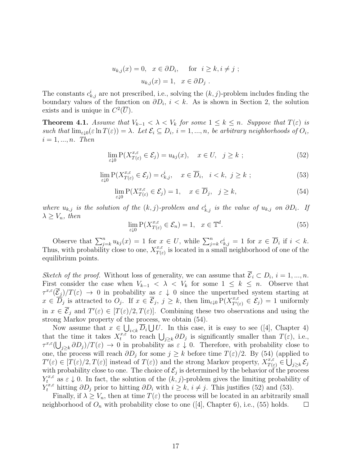$$
u_{k,j}(x) = 0, \quad x \in \partial D_i, \quad \text{for} \quad i \ge k, i \ne j ;
$$

$$
u_{k,j}(x) = 1, \quad x \in \partial D_j .
$$

The constants  $c_{k,j}^i$  are not prescribed, i.e., solving the  $(k, j)$ -problem includes finding the boundary values of the function on  $\partial D_i$ ,  $i < k$ . As is shown in Section 2, the solution exists and is unique in  $C^2(\overline{U})$ .

**Theorem 4.1.** Assume that  $V_{k-1} < \lambda < V_k$  for some  $1 \leq k \leq n$ . Suppose that  $T(\varepsilon)$  is such that  $\lim_{\varepsilon\downarrow 0} (\varepsilon \ln T(\varepsilon)) = \lambda$ . Let  $\mathcal{E}_i \subseteq D_i$ ,  $i = 1, ..., n$ , be arbitrary neighborhoods of  $O_i$ ,  $i = 1, ..., n$ . Then

$$
\lim_{\varepsilon \downarrow 0} \mathcal{P}(X_{T(\varepsilon)}^{x,\varepsilon} \in \mathcal{E}_j) = u_{kj}(x), \quad x \in U, \quad j \ge k \tag{52}
$$

$$
\lim_{\varepsilon \downarrow 0} \mathcal{P}(X_{T(\varepsilon)}^{x,\varepsilon} \in \mathcal{E}_j) = c_{k,j}^i, \quad x \in \overline{D}_i, \quad i < k, \ j \ge k \ ; \tag{53}
$$

$$
\lim_{\varepsilon \downarrow 0} \mathcal{P}(X_{T(\varepsilon)}^{x,\varepsilon} \in \mathcal{E}_j) = 1, \quad x \in \overline{D}_j, \quad j \ge k,
$$
\n(54)

where  $u_{k,j}$  is the solution of the  $(k, j)$ -problem and  $c_{k,j}^i$  is the value of  $u_{k,j}$  on  $\partial D_i$ . If  $\lambda \geq V_n$ , then

$$
\lim_{\varepsilon \downarrow 0} \mathcal{P}(X_{T(\varepsilon)}^{x,\varepsilon} \in \mathcal{E}_n) = 1, \quad x \in \mathbb{T}^d. \tag{55}
$$

Observe that  $\sum_{j=k}^{n} u_{kj}(x) = 1$  for  $x \in U$ , while  $\sum_{j=k}^{n} c_{k,j}^{i} = 1$  for  $x \in \overline{D}_i$  if  $i < k$ . Thus, with probability close to one,  $X_{T(s)}^{x,\varepsilon}$  $\frac{x,\varepsilon}{T(\varepsilon)}$  is located in a small neighborhood of one of the equilibrium points.

Sketch of the proof. Without loss of generality, we can assume that  $\overline{\mathcal{E}}_i \subset D_i$ ,  $i = 1, ..., n$ . First consider the case when  $V_{k-1} < \lambda < V_k$  for some  $1 \leq k \leq n$ . Observe that  $\tau^{x,\varepsilon}(\overline{\mathcal{E}}_j)/T(\varepsilon) \to 0$  in probability as  $\varepsilon \downarrow 0$  since the unperturbed system starting at  $x \in \overline{D}_j$  is attracted to  $O_j$ . If  $x \in \overline{\mathcal{E}}_j$ ,  $j \geq k$ , then  $\lim_{\varepsilon \downarrow 0} P(X_{T'(\varepsilon)}^{x,\varepsilon} \in \mathcal{E}_j) = 1$  uniformly in  $x \in \overline{\mathcal{E}}_j$  and  $T'(\varepsilon) \in [T(\varepsilon)/2, T(\varepsilon)]$ . Combining these two observations and using the strong Markov property of the process, we obtain (54).

Now assume that  $x \in \bigcup_{i \leq k} \overline{D}_i \bigcup U$ . In this case, it is easy to see ([4], Chapter 4) that the time it takes  $X_t^{x,\tilde{\varepsilon}}$  $t^{x,\varepsilon}$  to reach  $\bigcup_{j\geq k} \partial D_j$  is significantly smaller than  $T(\varepsilon)$ , i.e.,  $\tau^{x,\varepsilon}(\bigcup_{j\geq k} \partial D_j)/T(\varepsilon) \to 0$  in probability as  $\varepsilon \downarrow 0$ . Therefore, with probability close to one, the process will reach  $\partial D_j$  for some  $j \geq k$  before time  $T(\varepsilon)/2$ . By (54) (applied to  $T'(\varepsilon) \in [T(\varepsilon)/2, T(\varepsilon)]$  instead of  $T(\varepsilon)$  and the strong Markov property,  $X^{x,\varepsilon}_{T(\varepsilon)} \in \bigcup_{j\geq k} \mathcal{E}_j$ with probability close to one. The choice of  $\mathcal{E}_j$  is determined by the behavior of the process  $Y_t^{x,\varepsilon}$  as  $\varepsilon \downarrow 0$ . In fact, the solution of the  $(k, j)$ -problem gives the limiting probability of  $Y_t^{x,\varepsilon}$  hitting  $\partial D_j$  prior to hitting  $\partial D_i$  with  $i \geq k$ ,  $i \neq j$ . This justifies (52) and (53).

Finally, if  $\lambda \geq V_n$ , then at time  $T(\varepsilon)$  the process will be located in an arbitrarily small neighborhood of  $O_n$  with probability close to one ([4], Chapter 6), i.e., (55) holds.  $\Box$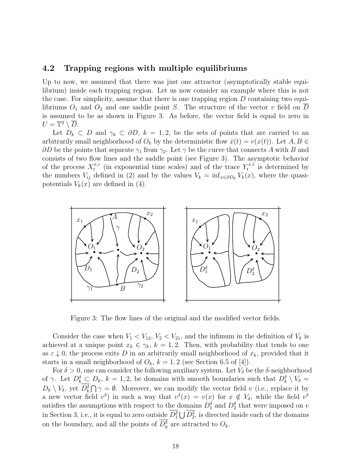#### 4.2 Trapping regions with multiple equilibriums

Up to now, we assumed that there was just one attractor (asymptotically stable equilibrium) inside each trapping region. Let us now consider an example where this is not the case. For simplicity, assume that there is one trapping region  $D$  containing two equilibriums  $O_1$  and  $O_2$  and one saddle point S. The structure of the vector v field on D is assumed to be as shown in Figure 3. As before, the vector field is equal to zero in  $U=\mathbb{T}^2\setminus\overline{D}.$ 

Let  $D_k \subset D$  and  $\gamma_k \subset \partial D$ ,  $k = 1, 2$ , be the sets of points that are carried to an arbitrarily small neighborhood of  $O_k$  by the deterministic flow  $\dot{x}(t) = v(x(t))$ . Let  $A, B \in$  $\partial D$  be the points that separate  $\gamma_1$  from  $\gamma_2$ . Let  $\gamma$  be the curve that connects A with B and consists of two flow lines and the saddle point (see Figure 3). The asymptotic behavior of the process  $X_t^{x,\varepsilon}$  $t_t^{x,\varepsilon}$  (in exponential time scales) and of the trace  $Y_t^{x,\varepsilon}$  $t^{x,\varepsilon}$  is determined by the numbers  $V_{ij}$  defined in (2) and by the values  $V_k = \inf_{x \in \partial D_k} V_k(x)$ , where the quasipotentials  $V_k(x)$  are defined in (4).



Figure 3: The flow lines of the original and the modified vector fields.

Consider the case when  $V_1 < V_{12}$ ,  $V_2 < V_{21}$ , and the infimum in the definition of  $V_k$  is achieved at a unique point  $x_k \in \gamma_k$ ,  $k = 1, 2$ . Then, with probability that tends to one as  $\varepsilon \downarrow 0$ , the process exits D in an arbitrarily small neighborhood of  $x_k$ , provided that it starts in a small neighborhood of  $O_k$ ,  $k = 1, 2$  (see Section 6.5 of [4]).

For  $\delta > 0$ , one can consider the following auxiliary system. Let  $V_{\delta}$  be the  $\delta$ -neighborhood of  $\gamma$ . Let  $D_k^{\delta} \subset D_k$ ,  $k = 1, 2$ , be domains with smooth boundaries such that  $D_k^{\delta} \setminus V_{\delta} =$  $D_k \setminus V_\delta$ , yet  $D_k^{\delta} \bigcap \gamma = \emptyset$ . Moreover, we can modify the vector field v (i.e., replace it by a new vector field  $v^{\delta}$  in such a way that  $v^{\delta}(x) = v(x)$  for  $x \notin V_{\delta}$ , while the field  $v^{\delta}$ satisfies the assumptions with respect to the domains  $D_1^{\delta}$  and  $D_2^{\delta}$  that were imposed on v in Section 3, i.e., it is equal to zero outside  $D_1^{\delta} \bigcup D_2^{\delta}$ , is directed inside each of the domains on the boundary, and all the points of  $D_k^{\delta}$  are attracted to  $O_k$ .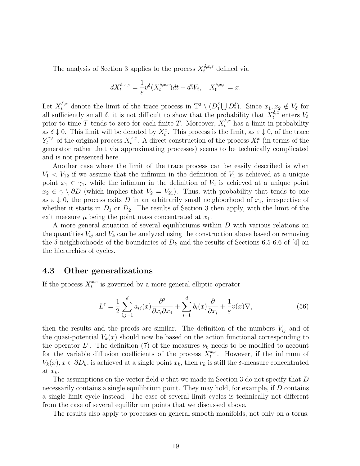The analysis of Section 3 applies to the process  $X_t^{\delta,x,\varepsilon}$  defined via

$$
dX_t^{\delta,x,\varepsilon} = -\frac{1}{\varepsilon}v^{\delta}(X_t^{\delta,x,\varepsilon})dt + dW_t, \quad X_0^{\delta,x,\varepsilon} = x.
$$

Let  $X_t^{\delta,x}$  denote the limit of the trace process in  $\mathbb{T}^2 \setminus (D_1^{\delta} \bigcup D_2^{\delta})$ . Since  $x_1, x_2 \notin V_{\delta}$  for all sufficiently small  $\delta$ , it is not difficult to show that the probability that  $X_t^{\delta,x}$  $t^{\delta,x}$  enters  $V_\delta$ prior to time T tends to zero for each finite T. Moreover,  $X_t^{\delta,x}$  has a limit in probability as  $\delta \downarrow 0$ . This limit will be denoted by  $X_t^x$ . This process is the limit, as  $\varepsilon \downarrow 0$ , of the trace  $Y_t^{x,\varepsilon}$  of the original process  $X_t^{x,\varepsilon}$  $t^{x,\varepsilon}$ . A direct construction of the process  $X_t^x$  (in terms of the generator rather that via approximating processes) seems to be technically complicated and is not presented here.

Another case where the limit of the trace process can be easily described is when  $V_1 < V_{12}$  if we assume that the infimum in the definition of  $V_1$  is achieved at a unique point  $x_1 \in \gamma_1$ , while the infimum in the definition of  $V_2$  is achieved at a unique point  $x_2 \in \gamma \setminus \partial D$  (which implies that  $V_2 = V_{21}$ ). Thus, with probability that tends to one as  $\varepsilon \downarrow 0$ , the process exits D in an arbitrarily small neighborhood of  $x_1$ , irrespective of whether it starts in  $D_1$  or  $D_2$ . The results of Section 3 then apply, with the limit of the exit measure  $\mu$  being the point mass concentrated at  $x_1$ .

A more general situation of several equilibriums within D with various relations on the quantities  $V_{ij}$  and  $V_k$  can be analyzed using the construction above based on removing the  $\delta$ -neighborhoods of the boundaries of  $D_k$  and the results of Sections 6.5-6.6 of [4] on the hierarchies of cycles.

### 4.3 Other generalizations

If the process  $X_t^{x,\varepsilon}$  $t^{x,\varepsilon}$  is governed by a more general elliptic operator

$$
L^{\varepsilon} = \frac{1}{2} \sum_{i,j=1}^{d} a_{ij}(x) \frac{\partial^2}{\partial x_i \partial x_j} + \sum_{i=1}^{d} b_i(x) \frac{\partial}{\partial x_i} + \frac{1}{\varepsilon} v(x) \nabla,
$$
 (56)

then the results and the proofs are similar. The definition of the numbers  $V_{ij}$  and of the quasi-potential  $V_k(x)$  should now be based on the action functional corresponding to the operator  $L^{\varepsilon}$ . The definition (7) of the measures  $\nu_k$  needs to be modified to account for the variable diffusion coefficients of the process  $X_t^{x,\varepsilon}$  $t^{x,\varepsilon}$ . However, if the infimum of  $V_k(x)$ ,  $x \in \partial D_k$ , is achieved at a single point  $x_k$ , then  $\nu_k$  is still the  $\delta$ -measure concentrated at  $x_k$ .

The assumptions on the vector field  $v$  that we made in Section 3 do not specify that  $D$ necessarily contains a single equilibrium point. They may hold, for example, if D contains a single limit cycle instead. The case of several limit cycles is technically not different from the case of several equilibrium points that we discussed above.

The results also apply to processes on general smooth manifolds, not only on a torus.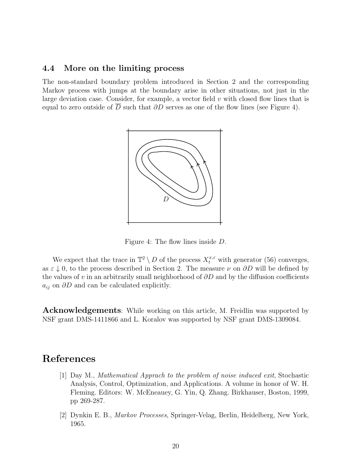#### 4.4 More on the limiting process

The non-standard boundary problem introduced in Section 2 and the corresponding Markov process with jumps at the boundary arise in other situations, not just in the large deviation case. Consider, for example, a vector field  $v$  with closed flow lines that is equal to zero outside of  $\overline{D}$  such that  $\partial D$  serves as one of the flow lines (see Figure 4).



Figure 4: The flow lines inside D.

We expect that the trace in  $\mathbb{T}^2 \setminus D$  of the process  $X_t^{x,\varepsilon}$  with generator (56) converges, as  $\varepsilon \downarrow 0$ , to the process described in Section 2. The measure  $\nu$  on  $\partial D$  will be defined by the values of v in an arbitrarily small neighborhood of  $\partial D$  and by the diffusion coefficients  $a_{ij}$  on  $\partial D$  and can be calculated explicitly.

**Acknowledgements**: While working on this article, M. Freidlin was supported by NSF grant DMS-1411866 and L. Koralov was supported by NSF grant DMS-1309084.

## References

- [1] Day M., Mathematical Apprach to the problem of noise induced exit, Stochastic Analysis, Control, Optimization, and Applications. A volume in honor of W. H. Fleming. Editors: W. McEneauey, G. Yin, Q. Zhang. Birkhauser, Boston, 1999, pp 269-287.
- [2] Dynkin E. B., Markov Processes, Springer-Velag, Berlin, Heidelberg, New York, 1965.